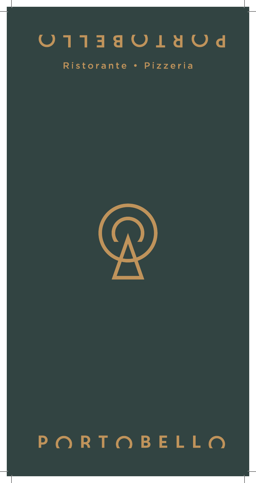# **DUBLUBETFU**

### Ristorante . Pizzeria



## $P$   $\cap$ R  $T$   $\cap$ B
E
L
L  $\cap$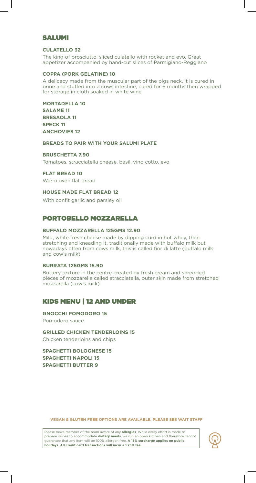#### SALUMI

#### **CULATELLO 32**

The king of prosciutto, sliced culatello with rocket and evo. Great appetizer accompanied by hand-cut slices of Parmigiano-Reggiano

#### **COPPA (PORK GELATINE) 10**

A delicacy made from the muscular part of the pigs neck, it is cured in brine and stuffed into a cows intestine, cured for 6 months then wrapped for storage in cloth soaked in white wine

**MORTADELLA 10 SALAME 11 BRESAOLA 11 SPECK 11 ANCHOVIES 12**

**BREADS TO PAIR WITH YOUR SALUMI PLATE**

#### **BRUSCHETTA 7.90**

Tomatoes, stracciatella cheese, basil, vino cotto, evo

#### **FLAT BREAD 10**

Warm oven flat bread

#### **HOUSE MADE FLAT BREAD 12**

With confit garlic and parsley oil

#### PORTOBELLO MOZZARELLA

#### **BUFFALO MOZZARELLA 125GMS 12.90**

Mild, white fresh cheese made by dipping curd in hot whey, then stretching and kneading it, traditionally made with buffalo milk but nowadays often from cows milk, this is called fior di latte (buffalo milk and cow's milk)

#### **BURRATA 125GMS 15.90**

Buttery texture in the centre created by fresh cream and shredded pieces of mozzarella called stracciatella, outer skin made from stretched mozzarella (cow's milk)

#### KIDS MENU | 12 AND UNDER

**GNOCCHI POMODORO 15** Pomodoro sauce

**GRILLED CHICKEN TENDERLOINS 15** Chicken tenderloins and chips

**SPAGHETTI BOLOGNESE 15 SPAGHETTI NAPOLI 15 SPAGHETTI BUTTER 9**

**VEGAN & GLUTEN FREE OPTIONS ARE AVAILABLE. PLEASE SEE WAIT STAFF**

Please make member of the team aware of any **allergies**. While every effort is made to prepare dishes to accommodate **dietary needs**, we run an open kitchen and therefore cannot guarantee that any item will be 100% allergen free. **A 15% surcharge applies on public holidays. All credit card transactions will incur a 1.75% fee.**

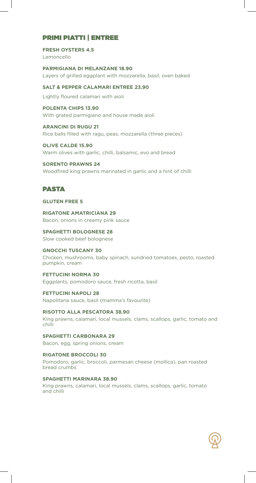#### PRIMI PIATTI | ENTREE

#### **FRESH OYSTERS 4.5** Lemoncello

**PARMIGIANA DI MELANZANE 18.90** Layers of grilled eggplant with mozzarella, basil, oven baked

**SALT & PEPPER CALAMARI ENTREE 23.90**

Lightly floured calamari with aioli

**POLENTA CHIPS 13.90** With grated parmigiano and house made aioli

**ARANCINI DI RUGU 21** Rice balls filled with ragu, peas, mozzarella (three pieces)

**OLIVE CALDE 15.90** Warm olives with garlic, chilli, balsamic, evo and bread

**SORENTO PRAWNS 24** Woodfired king prawns marinated in garlic and a hint of chilli

#### PASTA

#### **GLUTEN FREE 5**

**RIGATONE AMATRICIANA 29** Bacon, onions in creamy pink sauce

**SPAGHETTI BOLOGNESE 28** Slow cooked beef bolognese

#### **GNOCCHI TUSCANY 30**

Chicken, mushrooms, baby spinach, sundried tomatoes, pesto, roasted pumpkin, cream

#### **FETTUCINI NORMA 30**

Eggplants, pomodoro sauce, fresh ricotta, basil

**FETTUCINI NAPOLI 28** Napolitana sauce, basil (mamma's favourite)

**RISOTTO ALLA PESCATORA 38.90** King prawns, calamari, local mussels, clams, scallops, garlic, tomato and chilli

**SPAGHETTI CARBONARA 29** Bacon, egg, spring onions, cream

**RIGATONE BROCCOLI 30** Pomodoro, garlic, broccoli, parmesan cheese (mollica), pan roasted bread crumbs

#### **SPAGHETTI MARINARA 38.90**

King prawns, calamari, local mussels, clams, scallops, garlic, tomato and chilli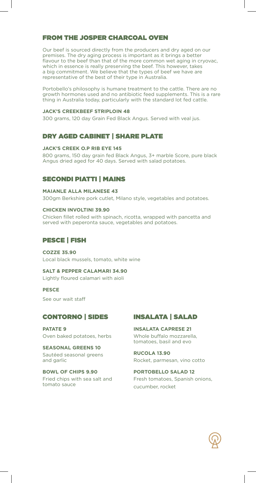#### FROM THE JOSPER CHARCOAL OVEN

Our beef is sourced directly from the producers and dry aged on our premises. The dry aging process is important as it brings a better flavour to the beef than that of the more common wet aging in cryovac, which in essence is really preserving the beef. This however, takes a big commitment. We believe that the types of beef we have are representative of the best of their type in Australia.

Portobello's philosophy is humane treatment to the cattle. There are no growth hormones used and no antibiotic feed supplements. This is a rare thing in Australia today, particularly with the standard lot fed cattle.

#### **JACK'S CREEKBEEF STRIPLOIN 48**

300 grams, 120 day Grain Fed Black Angus. Served with veal jus.

#### DRY AGED CABINET | SHARE PLATE

#### **JACK'S CREEK O.P RIB EYE 145**

800 grams, 150 day grain fed Black Angus, 3+ marble Score, pure black Angus dried aged for 40 days. Served with salad potatoes.

#### SECONDI PIATTI | MAINS

#### **MAIANLE ALLA MILANESE 43**

300gm Berkshire pork cutlet, Milano style, vegetables and potatoes.

#### **CHICKEN INVOLTINI 39.90**

Chicken fillet rolled with spinach, ricotta, wrapped with pancetta and served with peperonta sauce, vegetables and potatoes.

#### PESCE | FISH

#### **COZZE 35.90**

Local black mussels, tomato, white wine

**SALT & PEPPER CALAMARI 34.90** Lightly floured calamari with aioli

#### **PESCE**

See our wait staff

#### CONTORNO | SIDES

**PATATE 9** Oven baked potatoes, herbs

**SEASONAL GREENS 10** Sautéed seasonal greens and garlic

**BOWL OF CHIPS 9.90** Fried chips with sea salt and tomato sauce

#### INSALATA | SALAD

**INSALATA CAPRESE 21** Whole buffalo mozzarella, tomatoes, basil and evo

**RUCOLA 13.90** Rocket, parmesan, vino cotto

**PORTOBELLO SALAD 12** Fresh tomatoes, Spanish onions, cucumber, rocket

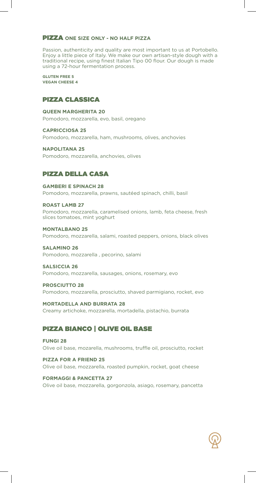#### PIZZA **ONE SIZE ONLY - NO HALF PIZZA**

Passion, authenticity and quality are most important to us at Portobello. Enjoy a little piece of Italy. We make our own artisan-style dough with a traditional recipe, using finest Italian Tipo 00 flour. Our dough is made using a 72-hour fermentation process.

**GLUTEN FREE 5 VEGAN CHEESE 4**

#### PIZZA CLASSICA

#### **QUEEN MARGHERITA 20**

Pomodoro, mozzarella, evo, basil, oregano

**CAPRICCIOSA 25**

Pomodoro, mozzarella, ham, mushrooms, olives, anchovies

#### **NAPOLITANA 25**

Pomodoro, mozzarella, anchovies, olives

#### PIZZA DELLA CASA

#### **GAMBERI E SPINACH 28** Pomodoro, mozzarella, prawns, sautéed spinach, chilli, basil

**ROAST LAMB 27**

Pomodoro, mozzarella, caramelised onions, lamb, feta cheese, fresh slices tomatoes, mint yoghurt

#### **MONTALBANO 25**

Pomodoro, mozzarella, salami, roasted peppers, onions, black olives

#### **SALAMINO 26**

Pomodoro, mozzarella , pecorino, salami

#### **SALSICCIA 26**

Pomodoro, mozzarella, sausages, onions, rosemary, evo

#### **PROSCIUTTO 28**

Pomodoro, mozzarella, prosciutto, shaved parmigiano, rocket, evo

#### **MORTADELLA AND BURRATA 28**

Creamy artichoke, mozzarella, mortadella, pistachio, burrata

#### PIZZA BIANCO | OLIVE OIL BASE

#### **FUNGI 28** Olive oil base, mozarella, mushrooms, truffle oil, prosciutto, rocket

**PIZZA FOR A FRIEND 25** Olive oil base, mozzarella, roasted pumpkin, rocket, goat cheese

#### **FORMAGGI & PANCETTA 27**

Olive oil base, mozzarella, gorgonzola, asiago, rosemary, pancetta